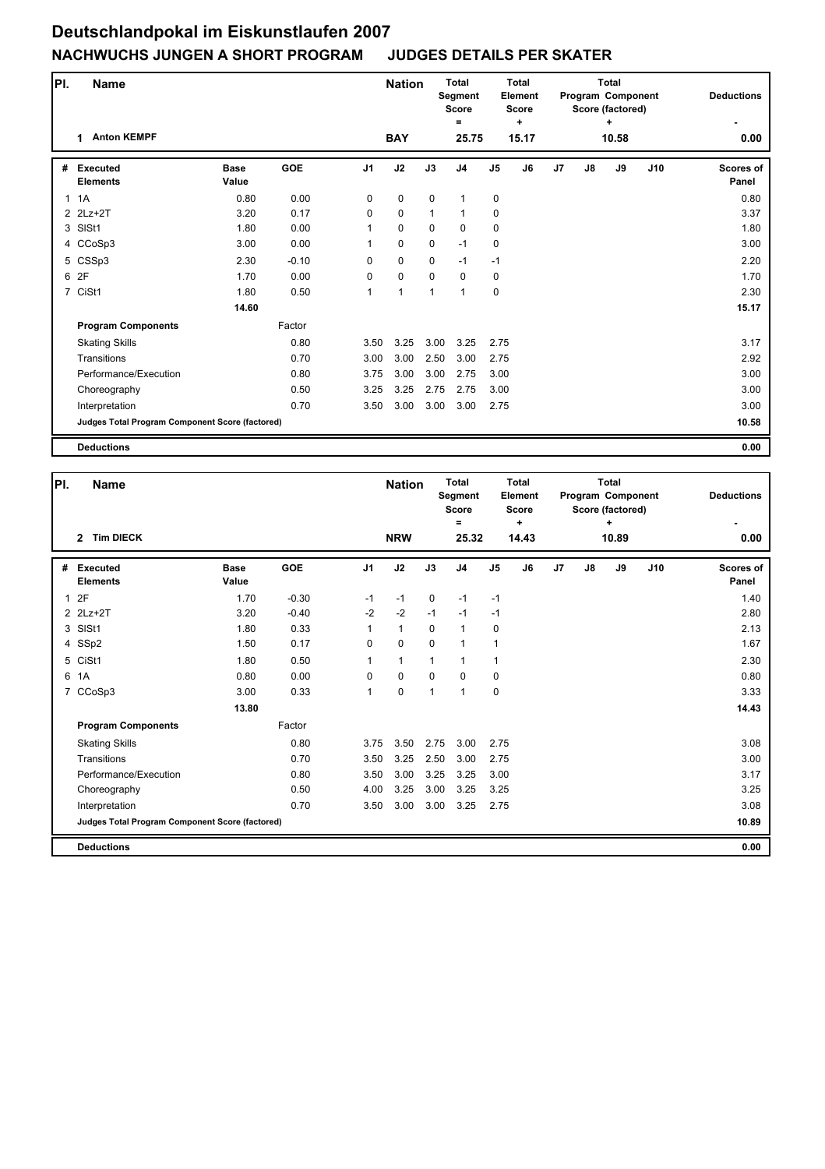| PI.          | <b>Name</b>                                     |                      |            |                | <b>Nation</b> |              | <b>Total</b><br><b>Segment</b><br><b>Score</b> |                | <b>Total</b><br>Element<br><b>Score</b> |                |    | <b>Total</b><br>Program Component<br>Score (factored) | <b>Deductions</b> |                           |
|--------------|-------------------------------------------------|----------------------|------------|----------------|---------------|--------------|------------------------------------------------|----------------|-----------------------------------------|----------------|----|-------------------------------------------------------|-------------------|---------------------------|
|              | <b>Anton KEMPF</b><br>1                         |                      |            |                | <b>BAY</b>    |              | Ξ<br>25.75                                     |                | ÷<br>15.17                              |                |    | ÷<br>10.58                                            |                   | 0.00                      |
| #            | <b>Executed</b><br><b>Elements</b>              | <b>Base</b><br>Value | <b>GOE</b> | J <sub>1</sub> | J2            | J3           | J <sub>4</sub>                                 | J <sub>5</sub> | J6                                      | J <sub>7</sub> | J8 | J9                                                    | J10               | <b>Scores of</b><br>Panel |
| $\mathbf{1}$ | 1A                                              | 0.80                 | 0.00       | $\Omega$       | $\mathbf 0$   | $\mathbf 0$  | $\mathbf{1}$                                   | $\mathbf 0$    |                                         |                |    |                                                       |                   | 0.80                      |
|              | 2 2Lz+2T                                        | 3.20                 | 0.17       | 0              | $\mathbf 0$   | $\mathbf{1}$ | $\mathbf{1}$                                   | 0              |                                         |                |    |                                                       |                   | 3.37                      |
|              | 3 SISt1                                         | 1.80                 | 0.00       | 1              | $\mathbf 0$   | $\mathbf 0$  | $\mathbf 0$                                    | $\mathbf 0$    |                                         |                |    |                                                       |                   | 1.80                      |
|              | 4 CCoSp3                                        | 3.00                 | 0.00       | 1              | 0             | $\mathbf 0$  | $-1$                                           | 0              |                                         |                |    |                                                       |                   | 3.00                      |
|              | 5 CSSp3                                         | 2.30                 | $-0.10$    | $\Omega$       | $\mathbf 0$   | 0            | $-1$                                           | $-1$           |                                         |                |    |                                                       |                   | 2.20                      |
|              | 6 2F                                            | 1.70                 | 0.00       | 0              | $\mathbf 0$   | $\Omega$     | $\mathbf 0$                                    | 0              |                                         |                |    |                                                       |                   | 1.70                      |
|              | 7 CiSt1                                         | 1.80                 | 0.50       | 1              | 1             | 1            | 1                                              | $\mathbf 0$    |                                         |                |    |                                                       |                   | 2.30                      |
|              |                                                 | 14.60                |            |                |               |              |                                                |                |                                         |                |    |                                                       |                   | 15.17                     |
|              | <b>Program Components</b>                       |                      | Factor     |                |               |              |                                                |                |                                         |                |    |                                                       |                   |                           |
|              | <b>Skating Skills</b>                           |                      | 0.80       | 3.50           | 3.25          | 3.00         | 3.25                                           | 2.75           |                                         |                |    |                                                       |                   | 3.17                      |
|              | Transitions                                     |                      | 0.70       | 3.00           | 3.00          | 2.50         | 3.00                                           | 2.75           |                                         |                |    |                                                       |                   | 2.92                      |
|              | Performance/Execution                           |                      | 0.80       | 3.75           | 3.00          | 3.00         | 2.75                                           | 3.00           |                                         |                |    |                                                       |                   | 3.00                      |
|              | Choreography                                    |                      | 0.50       | 3.25           | 3.25          | 2.75         | 2.75                                           | 3.00           |                                         |                |    |                                                       |                   | 3.00                      |
|              | Interpretation                                  |                      | 0.70       | 3.50           | 3.00          | 3.00         | 3.00                                           | 2.75           |                                         |                |    |                                                       |                   | 3.00                      |
|              | Judges Total Program Component Score (factored) |                      |            |                |               |              |                                                |                |                                         |                |    |                                                       |                   | 10.58                     |
|              | <b>Deductions</b>                               |                      |            |                |               |              |                                                |                |                                         |                |    |                                                       |                   | 0.00                      |

| PI.          | Name                                            |                      |            | <b>Nation</b>  |              | <b>Total</b><br>Segment<br><b>Score</b><br>Ξ |                | <b>Total</b><br><b>Element</b><br><b>Score</b><br>٠ |       |    | <b>Total</b><br>Program Component<br>Score (factored)<br>٠ |       | <b>Deductions</b> |                           |
|--------------|-------------------------------------------------|----------------------|------------|----------------|--------------|----------------------------------------------|----------------|-----------------------------------------------------|-------|----|------------------------------------------------------------|-------|-------------------|---------------------------|
|              | <b>Tim DIECK</b><br>$\overline{2}$              |                      |            |                | <b>NRW</b>   |                                              | 25.32          |                                                     | 14.43 |    |                                                            | 10.89 |                   | 0.00                      |
| #            | <b>Executed</b><br><b>Elements</b>              | <b>Base</b><br>Value | <b>GOE</b> | J <sub>1</sub> | J2           | J3                                           | J <sub>4</sub> | J <sub>5</sub>                                      | J6    | J7 | J8                                                         | J9    | J10               | <b>Scores of</b><br>Panel |
| $\mathbf{1}$ | 2F                                              | 1.70                 | $-0.30$    | $-1$           | $-1$         | $\mathbf 0$                                  | $-1$           | $-1$                                                |       |    |                                                            |       |                   | 1.40                      |
|              | 2 2Lz+2T                                        | 3.20                 | $-0.40$    | $-2$           | $-2$         | $-1$                                         | $-1$           | -1                                                  |       |    |                                                            |       |                   | 2.80                      |
|              | 3 SISt1                                         | 1.80                 | 0.33       | $\mathbf{1}$   | $\mathbf{1}$ | $\Omega$                                     | $\mathbf{1}$   | $\mathbf 0$                                         |       |    |                                                            |       |                   | 2.13                      |
|              | 4 SSp2                                          | 1.50                 | 0.17       | 0              | $\mathbf 0$  | $\mathbf 0$                                  | 1              | 1                                                   |       |    |                                                            |       |                   | 1.67                      |
|              | 5 CiSt1                                         | 1.80                 | 0.50       | $\mathbf{1}$   | $\mathbf{1}$ | $\mathbf{1}$                                 | 1              | $\mathbf{1}$                                        |       |    |                                                            |       |                   | 2.30                      |
| 6            | 1A                                              | 0.80                 | 0.00       | $\Omega$       | $\mathbf 0$  | $\mathbf 0$                                  | 0              | 0                                                   |       |    |                                                            |       |                   | 0.80                      |
|              | 7 CCoSp3                                        | 3.00                 | 0.33       | $\mathbf{1}$   | $\mathbf 0$  | $\mathbf 1$                                  | 1              | 0                                                   |       |    |                                                            |       |                   | 3.33                      |
|              |                                                 | 13.80                |            |                |              |                                              |                |                                                     |       |    |                                                            |       |                   | 14.43                     |
|              | <b>Program Components</b>                       |                      | Factor     |                |              |                                              |                |                                                     |       |    |                                                            |       |                   |                           |
|              | <b>Skating Skills</b>                           |                      | 0.80       | 3.75           | 3.50         | 2.75                                         | 3.00           | 2.75                                                |       |    |                                                            |       |                   | 3.08                      |
|              | Transitions                                     |                      | 0.70       | 3.50           | 3.25         | 2.50                                         | 3.00           | 2.75                                                |       |    |                                                            |       |                   | 3.00                      |
|              | Performance/Execution                           |                      | 0.80       | 3.50           | 3.00         | 3.25                                         | 3.25           | 3.00                                                |       |    |                                                            |       |                   | 3.17                      |
|              | Choreography                                    |                      | 0.50       | 4.00           | 3.25         | 3.00                                         | 3.25           | 3.25                                                |       |    |                                                            |       |                   | 3.25                      |
|              | Interpretation                                  |                      | 0.70       | 3.50           | 3.00         | 3.00                                         | 3.25           | 2.75                                                |       |    |                                                            |       |                   | 3.08                      |
|              | Judges Total Program Component Score (factored) |                      |            |                |              |                                              |                |                                                     |       |    |                                                            |       |                   | 10.89                     |
|              | <b>Deductions</b>                               |                      |            |                |              |                                              |                |                                                     |       |    |                                                            |       |                   | 0.00                      |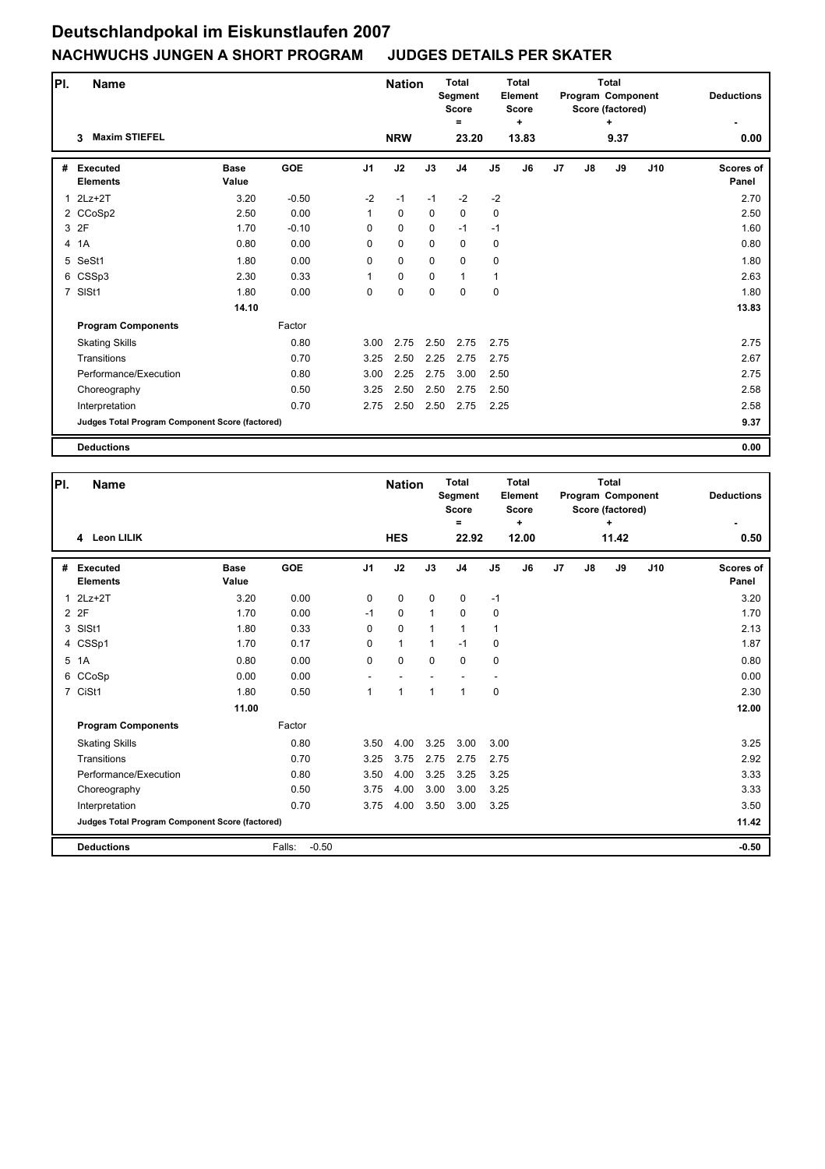| PI. | <b>Name</b>                                     |                      | <b>Nation</b> |                | <b>Total</b><br>Segment<br><b>Score</b> |             | <b>Total</b><br>Element<br><b>Score</b> |                |            | <b>Total</b><br><b>Program Component</b><br>Score (factored) |    | <b>Deductions</b> |     |                    |
|-----|-------------------------------------------------|----------------------|---------------|----------------|-----------------------------------------|-------------|-----------------------------------------|----------------|------------|--------------------------------------------------------------|----|-------------------|-----|--------------------|
|     | <b>Maxim STIEFEL</b><br>3                       |                      |               |                | <b>NRW</b>                              |             | =<br>23.20                              |                | ÷<br>13.83 |                                                              |    | ٠<br>9.37         |     | 0.00               |
| #   | <b>Executed</b><br><b>Elements</b>              | <b>Base</b><br>Value | <b>GOE</b>    | J <sub>1</sub> | J2                                      | J3          | J <sub>4</sub>                          | J <sub>5</sub> | J6         | J <sub>7</sub>                                               | J8 | J9                | J10 | Scores of<br>Panel |
| 1   | $2Lz+2T$                                        | 3.20                 | $-0.50$       | $-2$           | $-1$                                    | $-1$        | $-2$                                    | $-2$           |            |                                                              |    |                   |     | 2.70               |
|     | 2 CCoSp2                                        | 2.50                 | 0.00          | $\mathbf{1}$   | $\mathbf 0$                             | $\mathbf 0$ | 0                                       | $\mathbf 0$    |            |                                                              |    |                   |     | 2.50               |
|     | 3 2F                                            | 1.70                 | $-0.10$       | 0              | $\mathbf 0$                             | $\mathbf 0$ | $-1$                                    | $-1$           |            |                                                              |    |                   |     | 1.60               |
|     | 4 1A                                            | 0.80                 | 0.00          | 0              | $\mathbf 0$                             | $\mathbf 0$ | 0                                       | 0              |            |                                                              |    |                   |     | 0.80               |
|     | 5 SeSt1                                         | 1.80                 | 0.00          | 0              | $\mathbf 0$                             | $\mathbf 0$ | $\mathbf 0$                             | 0              |            |                                                              |    |                   |     | 1.80               |
|     | 6 CSSp3                                         | 2.30                 | 0.33          | 1              | $\mathbf 0$                             | $\mathbf 0$ | $\mathbf{1}$                            | 1              |            |                                                              |    |                   |     | 2.63               |
|     | 7 SISt1                                         | 1.80                 | 0.00          | 0              | $\pmb{0}$                               | 0           | 0                                       | 0              |            |                                                              |    |                   |     | 1.80               |
|     |                                                 | 14.10                |               |                |                                         |             |                                         |                |            |                                                              |    |                   |     | 13.83              |
|     | <b>Program Components</b>                       |                      | Factor        |                |                                         |             |                                         |                |            |                                                              |    |                   |     |                    |
|     | <b>Skating Skills</b>                           |                      | 0.80          | 3.00           | 2.75                                    | 2.50        | 2.75                                    | 2.75           |            |                                                              |    |                   |     | 2.75               |
|     | Transitions                                     |                      | 0.70          | 3.25           | 2.50                                    | 2.25        | 2.75                                    | 2.75           |            |                                                              |    |                   |     | 2.67               |
|     | Performance/Execution                           |                      | 0.80          | 3.00           | 2.25                                    | 2.75        | 3.00                                    | 2.50           |            |                                                              |    |                   |     | 2.75               |
|     | Choreography                                    |                      | 0.50          | 3.25           | 2.50                                    | 2.50        | 2.75                                    | 2.50           |            |                                                              |    |                   |     | 2.58               |
|     | Interpretation                                  |                      | 0.70          | 2.75           | 2.50                                    | 2.50        | 2.75                                    | 2.25           |            |                                                              |    |                   |     | 2.58               |
|     | Judges Total Program Component Score (factored) |                      |               |                |                                         |             |                                         |                |            |                                                              |    |                   |     | 9.37               |
|     | <b>Deductions</b>                               |                      |               |                |                                         |             |                                         |                |            |                                                              |    |                   |     | 0.00               |

| PI.          | Name                                            |                      |                   |                | <b>Nation</b> |              | <b>Total</b><br>Segment<br><b>Score</b><br>Ξ |                | Total<br><b>Element</b><br><b>Score</b><br>٠ |                |    | <b>Total</b><br>Program Component<br>Score (factored)<br>٠ |     | <b>Deductions</b>         |
|--------------|-------------------------------------------------|----------------------|-------------------|----------------|---------------|--------------|----------------------------------------------|----------------|----------------------------------------------|----------------|----|------------------------------------------------------------|-----|---------------------------|
|              | 4 Leon LILIK                                    |                      |                   |                | <b>HES</b>    |              | 22.92                                        |                | 12.00                                        |                |    | 11.42                                                      |     | 0.50                      |
| #            | <b>Executed</b><br><b>Elements</b>              | <b>Base</b><br>Value | <b>GOE</b>        | J <sub>1</sub> | J2            | J3           | J <sub>4</sub>                               | J <sub>5</sub> | J6                                           | J <sub>7</sub> | J8 | J9                                                         | J10 | <b>Scores of</b><br>Panel |
| $\mathbf{1}$ | $2Lz+2T$                                        | 3.20                 | 0.00              | $\mathbf 0$    | $\mathbf 0$   | $\mathbf 0$  | 0                                            | $-1$           |                                              |                |    |                                                            |     | 3.20                      |
|              | 2 2F                                            | 1.70                 | 0.00              | $-1$           | 0             | $\mathbf{1}$ | 0                                            | 0              |                                              |                |    |                                                            |     | 1.70                      |
|              | 3 SISt1                                         | 1.80                 | 0.33              | $\Omega$       | $\mathbf 0$   | $\mathbf{1}$ | $\mathbf{1}$                                 | $\mathbf{1}$   |                                              |                |    |                                                            |     | 2.13                      |
|              | 4 CSSp1                                         | 1.70                 | 0.17              | 0              | $\mathbf{1}$  | 1            | $-1$                                         | $\mathbf 0$    |                                              |                |    |                                                            |     | 1.87                      |
|              | 5 1A                                            | 0.80                 | 0.00              | $\Omega$       | $\mathbf 0$   | $\Omega$     | $\Omega$                                     | 0              |                                              |                |    |                                                            |     | 0.80                      |
| 6            | CCoSp                                           | 0.00                 | 0.00              |                |               |              |                                              |                |                                              |                |    |                                                            |     | 0.00                      |
|              | 7 CiSt1                                         | 1.80                 | 0.50              | $\mathbf{1}$   | 1             | $\mathbf 1$  | 1                                            | $\mathbf 0$    |                                              |                |    |                                                            |     | 2.30                      |
|              |                                                 | 11.00                |                   |                |               |              |                                              |                |                                              |                |    |                                                            |     | 12.00                     |
|              | <b>Program Components</b>                       |                      | Factor            |                |               |              |                                              |                |                                              |                |    |                                                            |     |                           |
|              | <b>Skating Skills</b>                           |                      | 0.80              | 3.50           | 4.00          | 3.25         | 3.00                                         | 3.00           |                                              |                |    |                                                            |     | 3.25                      |
|              | Transitions                                     |                      | 0.70              | 3.25           | 3.75          | 2.75         | 2.75                                         | 2.75           |                                              |                |    |                                                            |     | 2.92                      |
|              | Performance/Execution                           |                      | 0.80              | 3.50           | 4.00          | 3.25         | 3.25                                         | 3.25           |                                              |                |    |                                                            |     | 3.33                      |
|              | Choreography                                    |                      | 0.50              | 3.75           | 4.00          | 3.00         | 3.00                                         | 3.25           |                                              |                |    |                                                            |     | 3.33                      |
|              | Interpretation                                  |                      | 0.70              | 3.75           | 4.00          | 3.50         | 3.00                                         | 3.25           |                                              |                |    |                                                            |     | 3.50                      |
|              | Judges Total Program Component Score (factored) |                      |                   |                |               |              |                                              |                |                                              |                |    |                                                            |     | 11.42                     |
|              | <b>Deductions</b>                               |                      | $-0.50$<br>Falls: |                |               |              |                                              |                |                                              |                |    |                                                            |     | $-0.50$                   |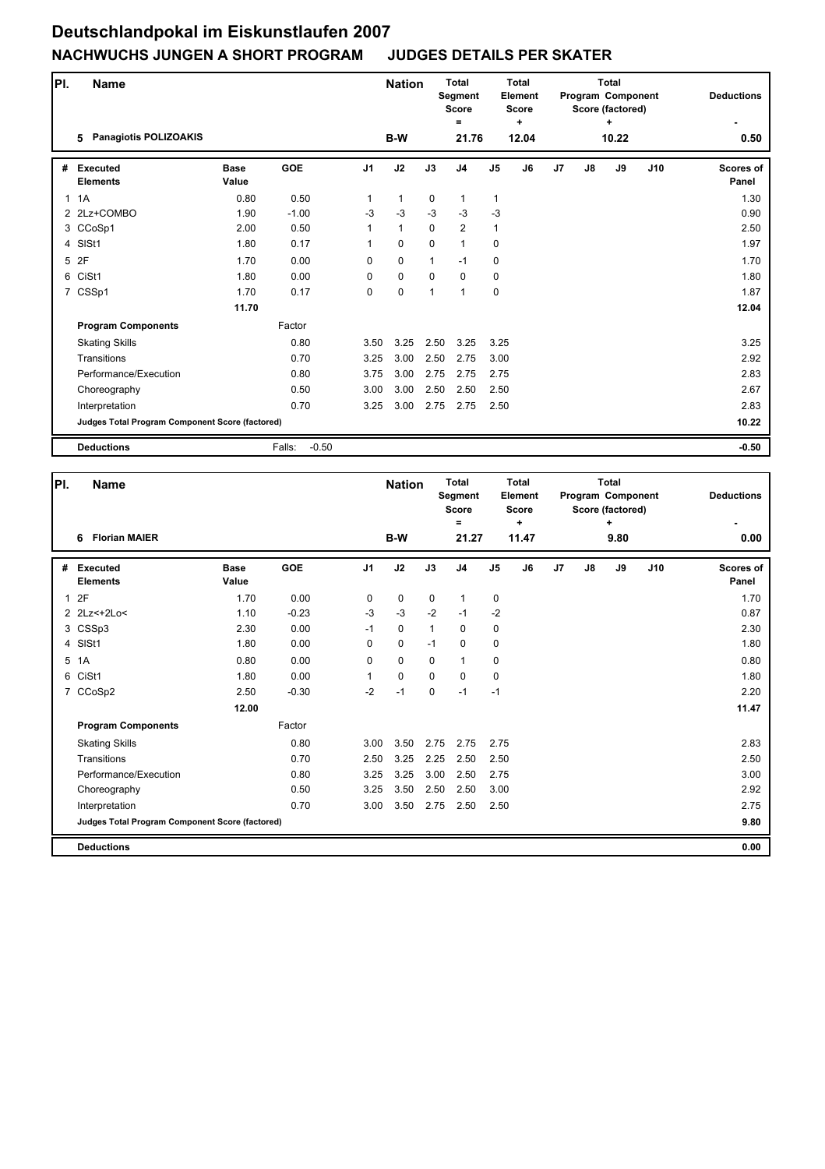| PI.          | <b>Name</b>                                     |                      | <b>Nation</b>     |                | Total<br>Segment<br><b>Score</b><br>$=$ |              | Total<br>Element<br><b>Score</b><br>٠ |                |       | Total<br>Program Component<br>Score (factored)<br>٠ | <b>Deductions</b> |       |     |                           |
|--------------|-------------------------------------------------|----------------------|-------------------|----------------|-----------------------------------------|--------------|---------------------------------------|----------------|-------|-----------------------------------------------------|-------------------|-------|-----|---------------------------|
|              | <b>Panagiotis POLIZOAKIS</b><br>5               |                      |                   |                | <b>B-W</b>                              |              | 21.76                                 |                | 12.04 |                                                     |                   | 10.22 |     | 0.50                      |
| #            | <b>Executed</b><br><b>Elements</b>              | <b>Base</b><br>Value | <b>GOE</b>        | J <sub>1</sub> | J2                                      | J3           | J <sub>4</sub>                        | J <sub>5</sub> | J6    | J <sub>7</sub>                                      | J8                | J9    | J10 | <b>Scores of</b><br>Panel |
| $\mathbf{1}$ | 1A                                              | 0.80                 | 0.50              | 1              | $\mathbf{1}$                            | 0            | $\mathbf{1}$                          | $\mathbf{1}$   |       |                                                     |                   |       |     | 1.30                      |
|              | 2 2Lz+COMBO                                     | 1.90                 | $-1.00$           | $-3$           | $-3$                                    | $-3$         | $-3$                                  | $-3$           |       |                                                     |                   |       |     | 0.90                      |
|              | 3 CCoSp1                                        | 2.00                 | 0.50              | 1              | $\mathbf{1}$                            | $\Omega$     | $\overline{2}$                        | $\mathbf{1}$   |       |                                                     |                   |       |     | 2.50                      |
| 4            | SISt1                                           | 1.80                 | 0.17              | 1              | $\mathbf 0$                             | $\mathbf 0$  | $\mathbf{1}$                          | 0              |       |                                                     |                   |       |     | 1.97                      |
| 5            | 2F                                              | 1.70                 | 0.00              | 0              | $\mathbf 0$                             | $\mathbf{1}$ | $-1$                                  | $\mathbf 0$    |       |                                                     |                   |       |     | 1.70                      |
| 6            | CiSt1                                           | 1.80                 | 0.00              | 0              | $\mathbf 0$                             | $\Omega$     | $\mathbf 0$                           | $\mathbf 0$    |       |                                                     |                   |       |     | 1.80                      |
|              | 7 CSSp1                                         | 1.70                 | 0.17              | $\Omega$       | $\mathbf 0$                             | 1            | $\overline{1}$                        | $\mathbf 0$    |       |                                                     |                   |       |     | 1.87                      |
|              |                                                 | 11.70                |                   |                |                                         |              |                                       |                |       |                                                     |                   |       |     | 12.04                     |
|              | <b>Program Components</b>                       |                      | Factor            |                |                                         |              |                                       |                |       |                                                     |                   |       |     |                           |
|              | <b>Skating Skills</b>                           |                      | 0.80              | 3.50           | 3.25                                    | 2.50         | 3.25                                  | 3.25           |       |                                                     |                   |       |     | 3.25                      |
|              | Transitions                                     |                      | 0.70              | 3.25           | 3.00                                    | 2.50         | 2.75                                  | 3.00           |       |                                                     |                   |       |     | 2.92                      |
|              | Performance/Execution                           |                      | 0.80              | 3.75           | 3.00                                    | 2.75         | 2.75                                  | 2.75           |       |                                                     |                   |       |     | 2.83                      |
|              | Choreography                                    |                      | 0.50              | 3.00           | 3.00                                    | 2.50         | 2.50                                  | 2.50           |       |                                                     |                   |       |     | 2.67                      |
|              | Interpretation                                  |                      | 0.70              | 3.25           | 3.00                                    | 2.75         | 2.75                                  | 2.50           |       |                                                     |                   |       |     | 2.83                      |
|              | Judges Total Program Component Score (factored) |                      |                   |                |                                         |              |                                       |                |       |                                                     |                   |       |     | 10.22                     |
|              | <b>Deductions</b>                               |                      | $-0.50$<br>Falls: |                |                                         |              |                                       |                |       |                                                     |                   |       |     | $-0.50$                   |

| PI.          | <b>Name</b>                                     |                      | <b>Nation</b> |                | <b>Total</b><br><b>Segment</b><br><b>Score</b> |              | Total<br><b>Element</b><br><b>Score</b> |                |            | <b>Total</b><br>Program Component<br>Score (factored) |    | <b>Deductions</b> |     |                           |
|--------------|-------------------------------------------------|----------------------|---------------|----------------|------------------------------------------------|--------------|-----------------------------------------|----------------|------------|-------------------------------------------------------|----|-------------------|-----|---------------------------|
|              | <b>Florian MAIER</b><br>6                       |                      |               |                | B-W                                            |              | $=$<br>21.27                            |                | ÷<br>11.47 |                                                       |    | $\ddot{}$<br>9.80 |     | 0.00                      |
| #            | <b>Executed</b><br><b>Elements</b>              | <b>Base</b><br>Value | GOE           | J <sub>1</sub> | J2                                             | J3           | J <sub>4</sub>                          | J <sub>5</sub> | J6         | J <sub>7</sub>                                        | J8 | J9                | J10 | <b>Scores of</b><br>Panel |
| $\mathbf{1}$ | 2F                                              | 1.70                 | 0.00          | 0              | $\mathbf 0$                                    | $\mathbf 0$  | 1                                       | 0              |            |                                                       |    |                   |     | 1.70                      |
|              | 2 2Lz<+2Lo<                                     | 1.10                 | $-0.23$       | $-3$           | $-3$                                           | $-2$         | $-1$                                    | $-2$           |            |                                                       |    |                   |     | 0.87                      |
|              | 3 CSSp3                                         | 2.30                 | 0.00          | $-1$           | $\mathbf 0$                                    | $\mathbf{1}$ | 0                                       | 0              |            |                                                       |    |                   |     | 2.30                      |
|              | 4 SISt1                                         | 1.80                 | 0.00          | 0              | $\mathbf 0$                                    | $-1$         | 0                                       | 0              |            |                                                       |    |                   |     | 1.80                      |
| 5            | 1A                                              | 0.80                 | 0.00          | 0              | $\mathbf 0$                                    | $\mathbf 0$  | 1                                       | $\mathbf 0$    |            |                                                       |    |                   |     | 0.80                      |
| 6            | CiSt1                                           | 1.80                 | 0.00          | 1              | 0                                              | 0            | 0                                       | $\mathbf 0$    |            |                                                       |    |                   |     | 1.80                      |
|              | 7 CCoSp2                                        | 2.50                 | $-0.30$       | $-2$           | $-1$                                           | 0            | $-1$                                    | $-1$           |            |                                                       |    |                   |     | 2.20                      |
|              |                                                 | 12.00                |               |                |                                                |              |                                         |                |            |                                                       |    |                   |     | 11.47                     |
|              | <b>Program Components</b>                       |                      | Factor        |                |                                                |              |                                         |                |            |                                                       |    |                   |     |                           |
|              | <b>Skating Skills</b>                           |                      | 0.80          | 3.00           | 3.50                                           | 2.75         | 2.75                                    | 2.75           |            |                                                       |    |                   |     | 2.83                      |
|              | Transitions                                     |                      | 0.70          | 2.50           | 3.25                                           | 2.25         | 2.50                                    | 2.50           |            |                                                       |    |                   |     | 2.50                      |
|              | Performance/Execution                           |                      | 0.80          | 3.25           | 3.25                                           | 3.00         | 2.50                                    | 2.75           |            |                                                       |    |                   |     | 3.00                      |
|              | Choreography                                    |                      | 0.50          | 3.25           | 3.50                                           | 2.50         | 2.50                                    | 3.00           |            |                                                       |    |                   |     | 2.92                      |
|              | Interpretation                                  |                      | 0.70          | 3.00           | 3.50                                           | 2.75         | 2.50                                    | 2.50           |            |                                                       |    |                   |     | 2.75                      |
|              | Judges Total Program Component Score (factored) |                      |               |                |                                                |              |                                         |                |            |                                                       |    |                   |     | 9.80                      |
|              | <b>Deductions</b>                               |                      |               |                |                                                |              |                                         |                |            |                                                       |    |                   |     | 0.00                      |